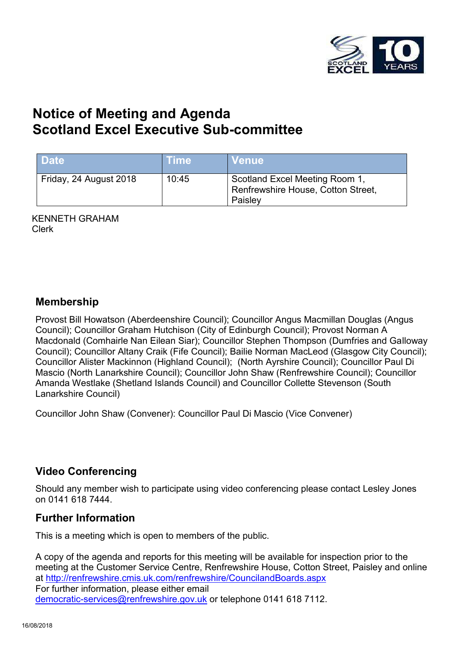

# **Notice of Meeting and Agenda Scotland Excel Executive Sub-committee**

| <b>Date</b>            | <b>Time</b> | Venue                                                                           |
|------------------------|-------------|---------------------------------------------------------------------------------|
| Friday, 24 August 2018 | 10:45       | Scotland Excel Meeting Room 1,<br>Renfrewshire House, Cotton Street,<br>Paisley |

KENNETH GRAHAM Clerk

#### **Membership**

Provost Bill Howatson (Aberdeenshire Council); Councillor Angus Macmillan Douglas (Angus Council); Councillor Graham Hutchison (City of Edinburgh Council); Provost Norman A Macdonald (Comhairle Nan Eilean Siar); Councillor Stephen Thompson (Dumfries and Galloway Council); Councillor Altany Craik (Fife Council); Bailie Norman MacLeod (Glasgow City Council); Councillor Alister Mackinnon (Highland Council); (North Ayrshire Council); Councillor Paul Di Mascio (North Lanarkshire Council); Councillor John Shaw (Renfrewshire Council); Councillor Amanda Westlake (Shetland Islands Council) and Councillor Collette Stevenson (South Lanarkshire Council)

Councillor John Shaw (Convener): Councillor Paul Di Mascio (Vice Convener)

### **Video Conferencing**

Should any member wish to participate using video conferencing please contact Lesley Jones on 0141 618 7444.

### **Further Information**

This is a meeting which is open to members of the public.

A copy of the agenda and reports for this meeting will be available for inspection prior to the meeting at the Customer Service Centre, Renfrewshire House, Cotton Street, Paisley and online at <http://renfrewshire.cmis.uk.com/renfrewshire/CouncilandBoards.aspx> For further information, please either email [democratic-services@renfrewshire.gov.uk](mailto:democratic-services@renfrewshire.gov.uk) or telephone 0141 618 7112.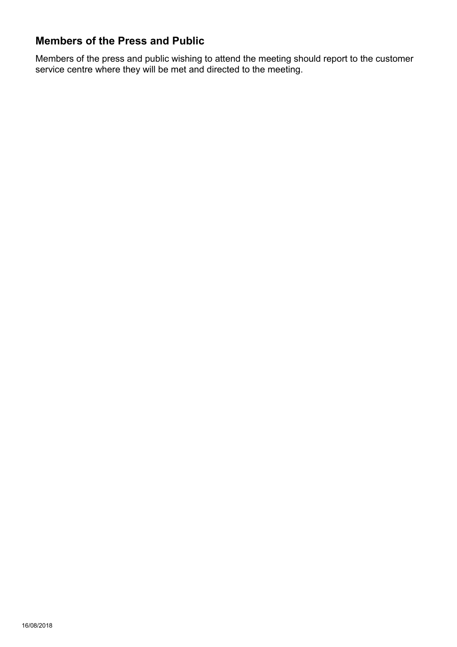### **Members of the Press and Public**

Members of the press and public wishing to attend the meeting should report to the customer service centre where they will be met and directed to the meeting.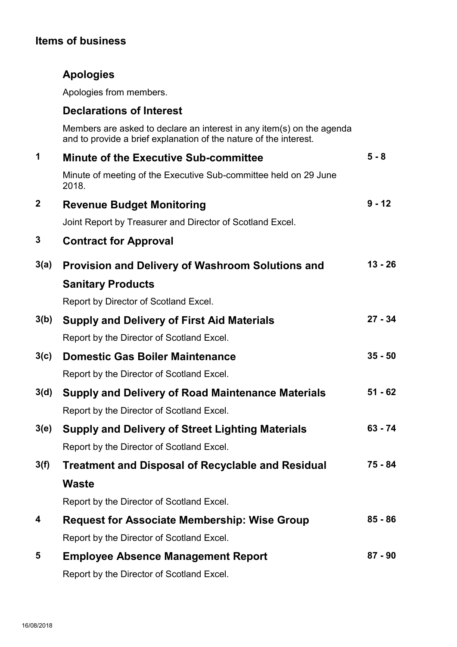## **Items of business**

## **Apologies**

Apologies from members.

### **Declarations of Interest**

Members are asked to declare an interest in any item(s) on the agenda and to provide a brief explanation of the nature of the interest.

| 1           | <b>Minute of the Executive Sub-committee</b>                              | $5 - 8$   |
|-------------|---------------------------------------------------------------------------|-----------|
|             | Minute of meeting of the Executive Sub-committee held on 29 June<br>2018. |           |
| $\mathbf 2$ | <b>Revenue Budget Monitoring</b>                                          | $9 - 12$  |
|             | Joint Report by Treasurer and Director of Scotland Excel.                 |           |
| 3           | <b>Contract for Approval</b>                                              |           |
| 3(a)        | <b>Provision and Delivery of Washroom Solutions and</b>                   | $13 - 26$ |
|             | <b>Sanitary Products</b>                                                  |           |
|             | Report by Director of Scotland Excel.                                     |           |
| 3(b)        | <b>Supply and Delivery of First Aid Materials</b>                         | $27 - 34$ |
|             | Report by the Director of Scotland Excel.                                 |           |
| 3(c)        | <b>Domestic Gas Boiler Maintenance</b>                                    | $35 - 50$ |
|             | Report by the Director of Scotland Excel.                                 |           |
| 3(d)        | <b>Supply and Delivery of Road Maintenance Materials</b>                  | $51 - 62$ |
|             | Report by the Director of Scotland Excel.                                 |           |
| 3(e)        | <b>Supply and Delivery of Street Lighting Materials</b>                   | $63 - 74$ |
|             | Report by the Director of Scotland Excel.                                 |           |
| 3(f)        | <b>Treatment and Disposal of Recyclable and Residual</b>                  | 75 - 84   |
|             | <b>Waste</b>                                                              |           |
|             | Report by the Director of Scotland Excel.                                 |           |
| 4           | <b>Request for Associate Membership: Wise Group</b>                       | $85 - 86$ |
|             | Report by the Director of Scotland Excel.                                 |           |
| 5           | <b>Employee Absence Management Report</b>                                 | $87 - 90$ |
|             | Report by the Director of Scotland Excel.                                 |           |